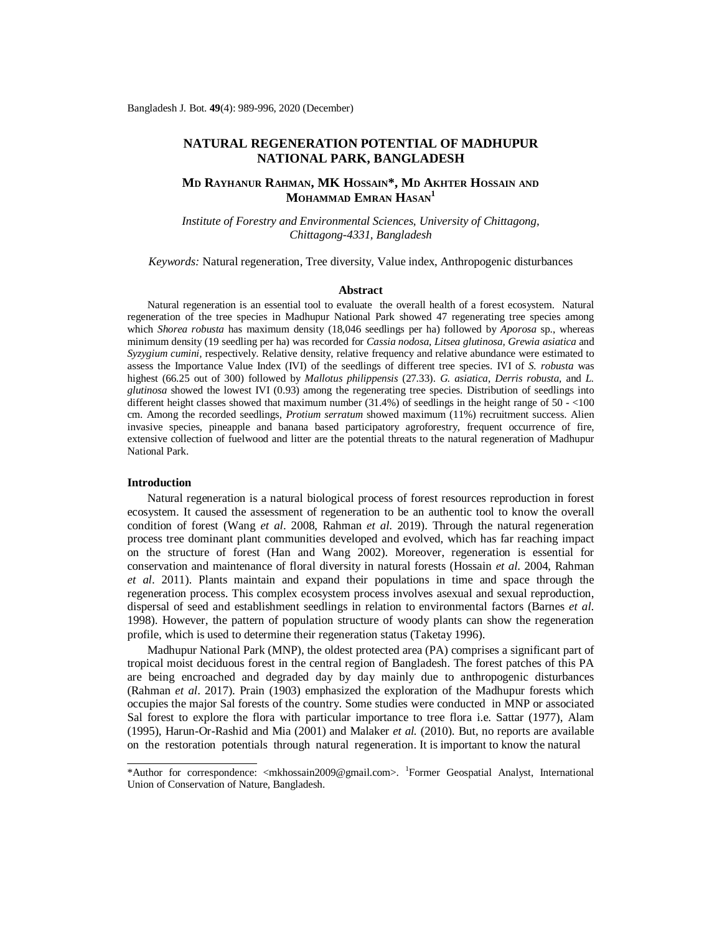# **NATURAL REGENERATION POTENTIAL OF MADHUPUR NATIONAL PARK, BANGLADESH**

## **MD RAYHANUR RAHMAN, MK HOSSAIN\*, MD AKHTER HOSSAIN AND MOHAMMAD EMRAN HASAN<sup>1</sup>**

*Institute of Forestry and Environmental Sciences, University of Chittagong, Chittagong-4331, Bangladesh*

*Keywords:* Natural regeneration, Tree diversity, Value index, Anthropogenic disturbances

#### **Abstract**

Natural regeneration is an essential tool to evaluate the overall health of a forest ecosystem. Natural regeneration of the tree species in Madhupur National Park showed 47 regenerating tree species among which *Shorea robusta* has maximum density (18,046 seedlings per ha) followed by *Aporosa* sp., whereas minimum density (19 seedling per ha) was recorded for *Cassia nodosa*, *Litsea glutinosa, Grewia asiatica* and *Syzygium cumini,* respectively. Relative density, relative frequency and relative abundance were estimated to assess the Importance Value Index (IVI) of the seedlings of different tree species. IVI of *S. robusta* was highest (66.25 out of 300) followed by *Mallotus philippensis* (27.33). *G. asiatica*, *Derris robusta,* and *L. glutinosa* showed the lowest IVI (0.93) among the regenerating tree species. Distribution of seedlings into different height classes showed that maximum number (31.4%) of seedlings in the height range of 50 - <100 cm. Among the recorded seedlings, *Protium serratum* showed maximum (11%) recruitment success. Alien invasive species, pineapple and banana based participatory agroforestry, frequent occurrence of fire, extensive collection of fuelwood and litter are the potential threats to the natural regeneration of Madhupur National Park.

#### **Introduction**

Natural regeneration is a natural biological process of forest resources reproduction in forest ecosystem. It caused the assessment of regeneration to be an authentic tool to know the overall condition of forest (Wang *et al*. 2008, Rahman *et al*. 2019). Through the natural regeneration process tree dominant plant communities developed and evolved, which has far reaching impact on the structure of forest (Han and Wang 2002). Moreover, regeneration is essential for conservation and maintenance of floral diversity in natural forests (Hossain *et al*. 2004, Rahman *et al*. 2011). Plants maintain and expand their populations in time and space through the regeneration process. This complex ecosystem process involves asexual and sexual reproduction, dispersal of seed and establishment seedlings in relation to environmental factors (Barnes *et al*. 1998). However, the pattern of population structure of woody plants can show the regeneration profile, which is used to determine their regeneration status (Taketay 1996).

Madhupur National Park (MNP), the oldest protected area (PA) comprises a significant part of tropical moist deciduous forest in the central region of Bangladesh. The forest patches of this PA are being encroached and degraded day by day mainly due to anthropogenic disturbances (Rahman *et al*. 2017). Prain (1903) emphasized the exploration of the Madhupur forests which occupies the major Sal forests of the country. Some studies were conducted in MNP or associated Sal forest to explore the flora with particular importance to tree flora i.e. Sattar (1977), Alam (1995), Harun-Or-Rashid and Mia (2001) and Malaker *et al.* (2010). But, no reports are available on the restoration potentials through natural regeneration. It is important to know the natural

<sup>\*</sup>Author for correspondence: [<mkhossain2009@gmail.com](mailto:mkhossain2009@gmail.com)>. <sup>1</sup>Former Geospatial Analyst, International Union of Conservation of Nature, Bangladesh.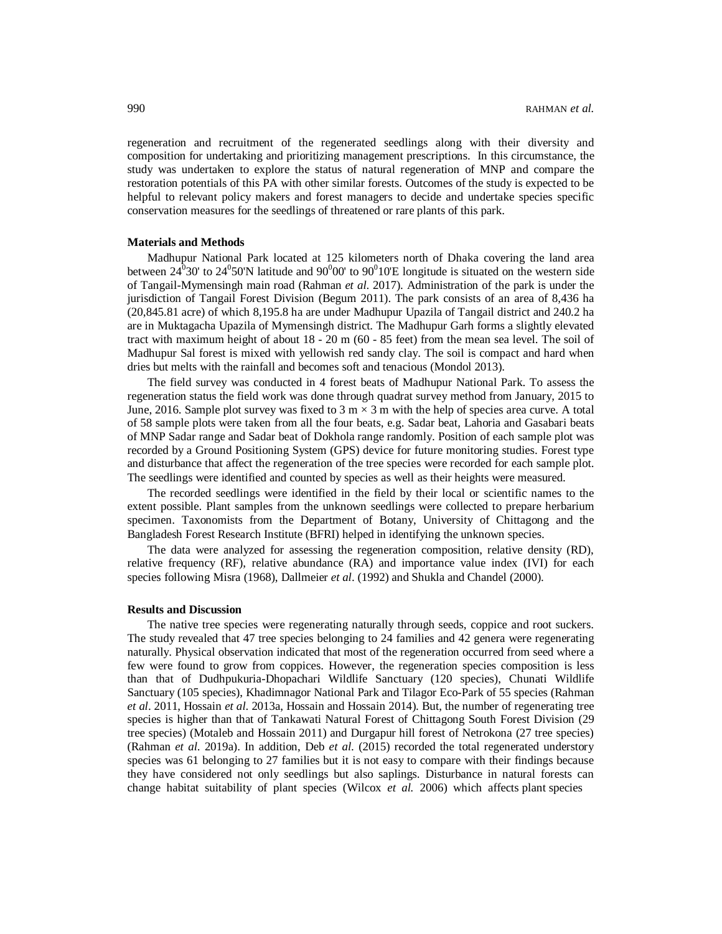regeneration and recruitment of the regenerated seedlings along with their diversity and composition for undertaking and prioritizing management prescriptions. In this circumstance, the study was undertaken to explore the status of natural regeneration of MNP and compare the restoration potentials of this PA with other similar forests. Outcomes of the study is expected to be helpful to relevant policy makers and forest managers to decide and undertake species specific conservation measures for the seedlings of threatened or rare plants of this park.

#### **Materials and Methods**

Madhupur National Park located at 125 kilometers north of Dhaka covering the land area between  $24^0$ 30' to  $24^0$ 50'N latitude and  $90^0$ 00' to  $90^0$ 10'E longitude is situated on the western side of Tangail-Mymensingh main road (Rahman *et al*. 2017). Administration of the park is under the jurisdiction of Tangail Forest Division (Begum 2011). The park consists of an area of 8,436 ha (20,845.81 acre) of which 8,195.8 ha are under Madhupur Upazila of Tangail district and 240.2 ha are in Muktagacha Upazila of Mymensingh district. The Madhupur Garh forms a slightly elevated tract with maximum height of about 18 - 20 m (60 - 85 feet) from the mean sea level. The soil of Madhupur Sal forest is mixed with yellowish red sandy clay. The soil is compact and hard when dries but melts with the rainfall and becomes soft and tenacious (Mondol 2013).

The field survey was conducted in 4 forest beats of Madhupur National Park. To assess the regeneration status the field work was done through quadrat survey method from January, 2015 to June, 2016. Sample plot survey was fixed to 3 m  $\times$  3 m with the help of species area curve. A total of 58 sample plots were taken from all the four beats, e.g. Sadar beat, Lahoria and Gasabari beats of MNP Sadar range and Sadar beat of Dokhola range randomly. Position of each sample plot was recorded by a Ground Positioning System (GPS) device for future monitoring studies. Forest type and disturbance that affect the regeneration of the tree species were recorded for each sample plot. The seedlings were identified and counted by species as well as their heights were measured.

The recorded seedlings were identified in the field by their local or scientific names to the extent possible. Plant samples from the unknown seedlings were collected to prepare herbarium specimen. Taxonomists from the Department of Botany, University of Chittagong and the Bangladesh Forest Research Institute (BFRI) helped in identifying the unknown species.

The data were analyzed for assessing the regeneration composition, relative density (RD), relative frequency (RF), relative abundance (RA) and importance value index (IVI) for each species following Misra (1968), Dallmeier *et al*. (1992) and Shukla and Chandel (2000).

## **Results and Discussion**

The native tree species were regenerating naturally through seeds, coppice and root suckers. The study revealed that 47 tree species belonging to 24 families and 42 genera were regenerating naturally. Physical observation indicated that most of the regeneration occurred from seed where a few were found to grow from coppices. However, the regeneration species composition is less than that of Dudhpukuria-Dhopachari Wildlife Sanctuary (120 species), Chunati Wildlife Sanctuary (105 species), Khadimnagor National Park and Tilagor Eco-Park of 55 species (Rahman *et al*. 2011, Hossain *et al*. 2013a, Hossain and Hossain 2014). But, the number of regenerating tree species is higher than that of Tankawati Natural Forest of Chittagong South Forest Division (29 tree species) (Motaleb and Hossain 2011) and Durgapur hill forest of Netrokona (27 tree species) (Rahman *et al*. 2019a). In addition, Deb *et al*. (2015) recorded the total regenerated understory species was 61 belonging to 27 families but it is not easy to compare with their findings because they have considered not only seedlings but also saplings. Disturbance in natural forests can change habitat suitability of plant species (Wilcox *et al.* 2006) which affects plant species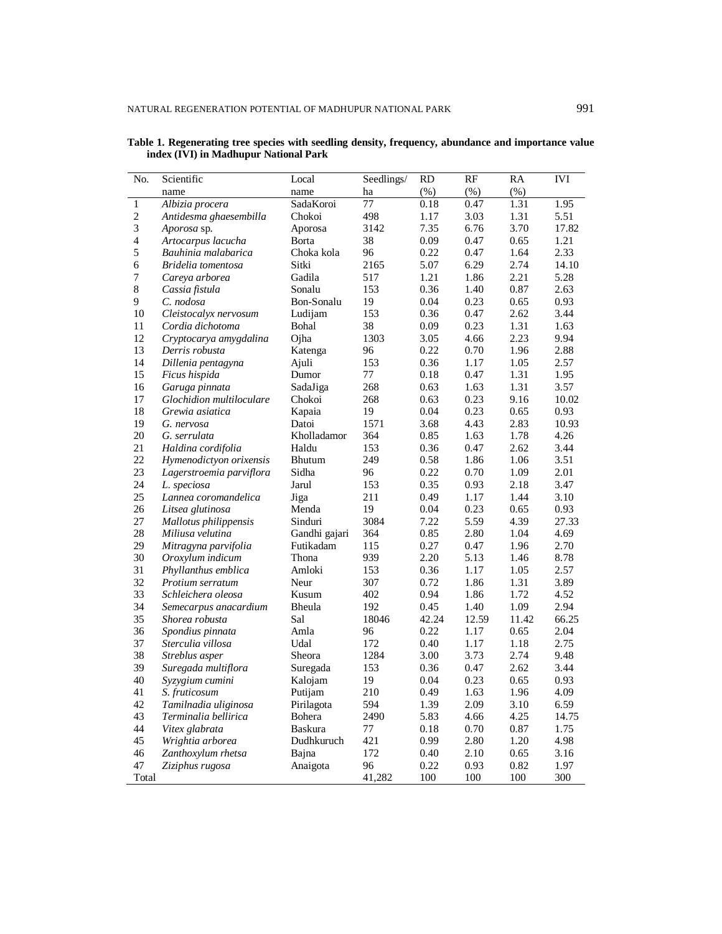| N <sub>o</sub> | Scientific               | Local          | Seedlings/ | <b>RD</b> | RF    | RA    | <b>IVI</b> |
|----------------|--------------------------|----------------|------------|-----------|-------|-------|------------|
|                | name                     | name           | ha         | (% )      | (% )  | (% )  |            |
| $\,1$          | Albizia procera          | SadaKoroi      | 77         | 0.18      | 0.47  | 1.31  | 1.95       |
| $\sqrt{2}$     | Antidesma ghaesembilla   | Chokoi         | 498        | 1.17      | 3.03  | 1.31  | 5.51       |
| 3              | Aporosa sp.              | Aporosa        | 3142       | 7.35      | 6.76  | 3.70  | 17.82      |
| $\overline{4}$ | Artocarpus lacucha       | Borta          | 38         | 0.09      | 0.47  | 0.65  | 1.21       |
| 5              | Bauhinia malabarica      | Choka kola     | 96         | 0.22      | 0.47  | 1.64  | 2.33       |
| 6              | Bridelia tomentosa       | Sitki          | 2165       | 5.07      | 6.29  | 2.74  | 14.10      |
| $\overline{7}$ | Careva arborea           | Gadila         | 517        | 1.21      | 1.86  | 2.21  | 5.28       |
| 8              | Cassia fistula           | Sonalu         | 153        | 0.36      | 1.40  | 0.87  | 2.63       |
| 9              | C. nodosa                | Bon-Sonalu     | 19         | 0.04      | 0.23  | 0.65  | 0.93       |
| 10             | Cleistocalyx nervosum    | Ludijam        | 153        | 0.36      | 0.47  | 2.62  | 3.44       |
| 11             | Cordia dichotoma         | Bohal          | 38         | 0.09      | 0.23  | 1.31  | 1.63       |
| 12             | Cryptocarya amygdalina   | Ojha           | 1303       | 3.05      | 4.66  | 2.23  | 9.94       |
| 13             | Derris robusta           | Katenga        | 96         | 0.22      | 0.70  | 1.96  | 2.88       |
| 14             | Dillenia pentagyna       | Ajuli          | 153        | 0.36      | 1.17  | 1.05  | 2.57       |
| 15             | Ficus hispida            | Dumor          | 77         | 0.18      | 0.47  | 1.31  | 1.95       |
| 16             | Garuga pinnata           | SadaJiga       | 268        | 0.63      | 1.63  | 1.31  | 3.57       |
| 17             | Glochidion multiloculare | Chokoi         | 268        | 0.63      | 0.23  | 9.16  | 10.02      |
| 18             | Grewia asiatica          | Kapaia         | 19         | 0.04      | 0.23  | 0.65  | 0.93       |
| 19             | G. nervosa               | Datoi          | 1571       | 3.68      | 4.43  | 2.83  | 10.93      |
| 20             | G. serrulata             | Kholladamor    | 364        | 0.85      | 1.63  | 1.78  | 4.26       |
| 21             | Haldina cordifolia       | Haldu          | 153        | 0.36      | 0.47  | 2.62  | 3.44       |
| 22             | Hymenodictyon orixensis  | Bhutum         | 249        | 0.58      | 1.86  | 1.06  | 3.51       |
| 23             | Lagerstroemia parviflora | Sidha          | 96         | 0.22      | 0.70  | 1.09  | 2.01       |
| 24             | L. speciosa              | Jarul          | 153        | 0.35      | 0.93  | 2.18  | 3.47       |
| 25             |                          |                | 211        |           |       | 1.44  | 3.10       |
|                | Lannea coromandelica     | Jiga           |            | 0.49      | 1.17  |       |            |
| 26             | Litsea glutinosa         | Menda          | 19         | 0.04      | 0.23  | 0.65  | 0.93       |
| 27             | Mallotus philippensis    | Sinduri        | 3084       | 7.22      | 5.59  | 4.39  | 27.33      |
| 28             | Miliusa velutina         | Gandhi gajari  | 364        | 0.85      | 2.80  | 1.04  | 4.69       |
| 29             | Mitragyna parvifolia     | Futikadam      | 115        | 0.27      | 0.47  | 1.96  | 2.70       |
| 30             | Oroxylum indicum         | Thona          | 939        | 2.20      | 5.13  | 1.46  | 8.78       |
| 31             | Phyllanthus emblica      | Amloki         | 153        | 0.36      | 1.17  | 1.05  | 2.57       |
| 32             | Protium serratum         | Neur           | 307        | 0.72      | 1.86  | 1.31  | 3.89       |
| 33             | Schleichera oleosa       | Kusum          | 402        | 0.94      | 1.86  | 1.72  | 4.52       |
| 34             | Semecarpus anacardium    | Bheula         | 192        | 0.45      | 1.40  | 1.09  | 2.94       |
| 35             | Shorea robusta           | Sal            | 18046      | 42.24     | 12.59 | 11.42 | 66.25      |
| 36             | Spondius pinnata         | Amla           | 96         | 0.22      | 1.17  | 0.65  | 2.04       |
| 37             | Sterculia villosa        | Udal           | 172        | 0.40      | 1.17  | 1.18  | 2.75       |
| 38             | Streblus asper           | Sheora         | 1284       | 3.00      | 3.73  | 2.74  | 9.48       |
| 39             | Suregada multiflora      | Suregada       | 153        | 0.36      | 0.47  | 2.62  | 3.44       |
| 40             | Syzygium cumini          | Kalojam        | 19         | 0.04      | 0.23  | 0.65  | 0.93       |
| 41             | S. fruticosum            | Putijam        | 210        | 0.49      | 1.63  | 1.96  | 4.09       |
| 42             | Tamilnadia uliginosa     | Pirilagota     | 594        | 1.39      | 2.09  | 3.10  | 6.59       |
| 43             | Terminalia bellirica     | Bohera         | 2490       | 5.83      | 4.66  | 4.25  | 14.75      |
| 44             | Vitex glabrata           | <b>Baskura</b> | 77         | 0.18      | 0.70  | 0.87  | 1.75       |
| 45             | Wrightia arborea         | Dudhkuruch     | 421        | 0.99      | 2.80  | 1.20  | 4.98       |
| 46             | Zanthoxylum rhetsa       | Bajna          | 172        | 0.40      | 2.10  | 0.65  | 3.16       |
| 47             | Ziziphus rugosa          | Anaigota       | 96         | 0.22      | 0.93  | 0.82  | 1.97       |
| Total          |                          |                | 41,282     | 100       | 100   | 100   | 300        |

**Table 1. Regenerating tree species with seedling density, frequency, abundance and importance value index (IVI) in Madhupur National Park**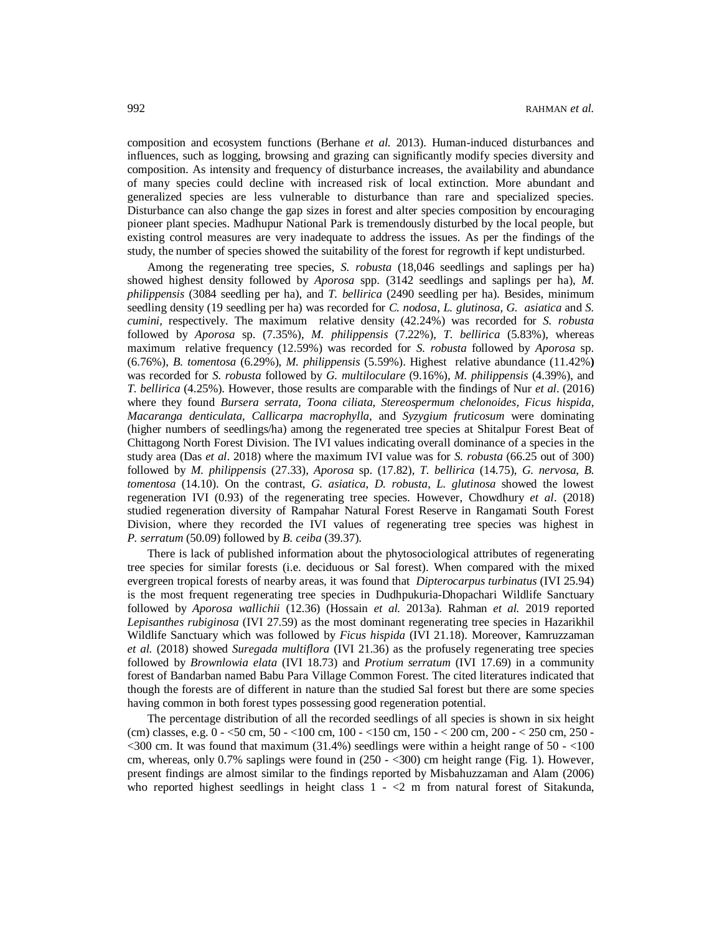composition and ecosystem functions (Berhane *et al.* 2013). Human-induced disturbances and influences, such as logging, browsing and grazing can significantly modify species diversity and composition. As intensity and frequency of disturbance increases, the availability and abundance of many species could decline with increased risk of local extinction. More abundant and generalized species are less vulnerable to disturbance than rare and specialized species. Disturbance can also change the gap sizes in forest and alter species composition by encouraging pioneer plant species. Madhupur National Park is tremendously disturbed by the local people, but existing control measures are very inadequate to address the issues. As per the findings of the study, the number of species showed the suitability of the forest for regrowth if kept undisturbed.

Among the regenerating tree species, *S. robusta* (18,046 seedlings and saplings per ha) showed highest density followed by *Aporosa* spp. (3142 seedlings and saplings per ha), *M. philippensis* (3084 seedling per ha), and *T. bellirica* (2490 seedling per ha). Besides, minimum seedling density (19 seedling per ha) was recorded for *C. nodosa*, *L. glutinosa, G. asiatica* and *S. cumini,* respectively. The maximum relative density (42.24%) was recorded for *S. robusta* followed by *Aporosa* sp. (7.35%), *M. philippensis* (7.22%), *T. bellirica* (5.83%), whereas maximum relative frequency (12.59%) was recorded for *S. robusta* followed by *Aporosa* sp. (6.76%), *B. tomentosa* (6.29%), *M. philippensis* (5.59%). Highest relative abundance (11.42%**)** was recorded for *S. robusta* followed by *G. multiloculare* (9.16%), *M. philippensis* (4.39%), and *T. bellirica* (4.25%). However, those results are comparable with the findings of Nur *et al*. (2016) where they found *Bursera serrata, Toona ciliata, Stereospermum chelonoides, Ficus hispida, Macaranga denticulata, Callicarpa macrophylla,* and *Syzygium fruticosum* were dominating (higher numbers of seedlings/ha) among the regenerated tree species at Shitalpur Forest Beat of Chittagong North Forest Division. The IVI values indicating overall dominance of a species in the study area (Das *et al*. 2018) where the maximum IVI value was for *S. robusta* (66.25 out of 300) followed by *M. philippensis* (27.33), *Aporosa* sp. (17.82), *T. bellirica* (14.75), *G. nervosa*, *B. tomentosa* (14.10). On the contrast, *G. asiatica*, *D. robusta*, *L. glutinosa* showed the lowest regeneration IVI (0.93) of the regenerating tree species. However, Chowdhury *et al*. (2018) studied regeneration diversity of Rampahar Natural Forest Reserve in Rangamati South Forest Division, where they recorded the IVI values of regenerating tree species was highest in *P. serratum* (50.09) followed by *B. ceiba* (39.37).

There is lack of published information about the phytosociological attributes of regenerating tree species for similar forests (i.e. deciduous or Sal forest). When compared with the mixed evergreen tropical forests of nearby areas, it was found that *Dipterocarpus turbinatus* (IVI 25.94) is the most frequent regenerating tree species in Dudhpukuria-Dhopachari Wildlife Sanctuary followed by *Aporosa wallichii* (12.36) (Hossain *et al.* 2013a). Rahman *et al.* 2019 reported *Lepisanthes rubiginosa* (IVI 27.59) as the most dominant regenerating tree species in Hazarikhil Wildlife Sanctuary which was followed by *Ficus hispida* (IVI 21.18). Moreover, Kamruzzaman *et al.* (2018) showed *Suregada multiflora* (IVI 21.36) as the profusely regenerating tree species followed by *Brownlowia elata* (IVI 18.73) and *Protium serratum* (IVI 17.69) in a community forest of Bandarban named Babu Para Village Common Forest. The cited literatures indicated that though the forests are of different in nature than the studied Sal forest but there are some species having common in both forest types possessing good regeneration potential.

The percentage distribution of all the recorded seedlings of all species is shown in six height (cm) classes, e.g. 0 - <50 cm, 50 - <100 cm, 100 - <150 cm, 150 - < 200 cm, 200 - < 250 cm, 250 -  $<$  300 cm. It was found that maximum (31.4%) seedlings were within a height range of 50 -  $<$  100 cm, whereas, only 0.7% saplings were found in (250 - <300) cm height range (Fig. 1). However, present findings are almost similar to the findings reported by Misbahuzzaman and Alam (2006) who reported highest seedlings in height class  $1 - 2$  m from natural forest of Sitakunda,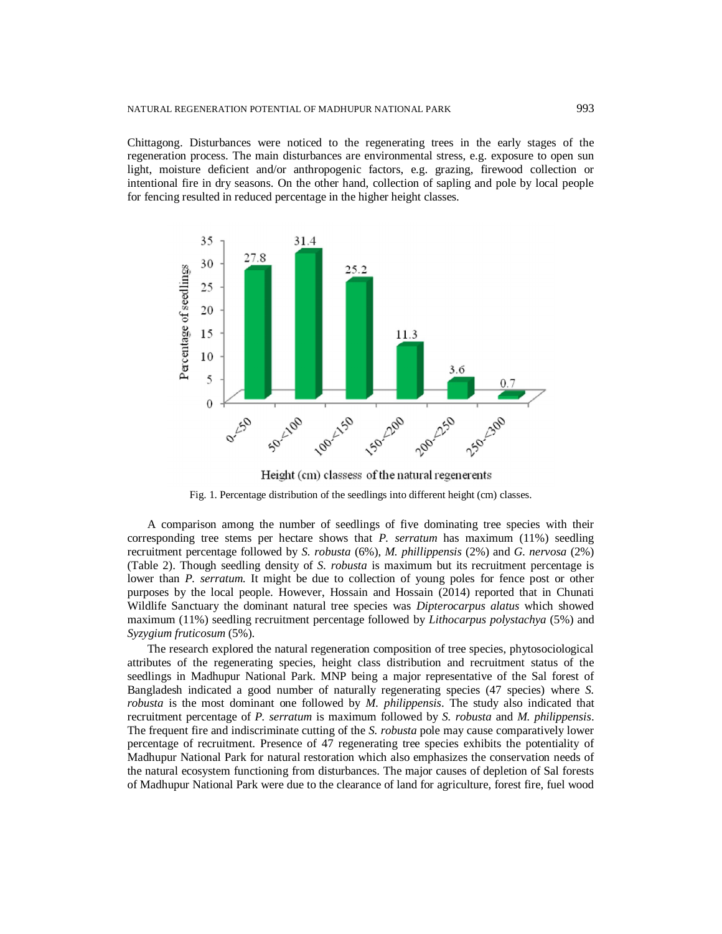Chittagong. Disturbances were noticed to the regenerating trees in the early stages of the regeneration process. The main disturbances are environmental stress, e.g. exposure to open sun light, moisture deficient and/or anthropogenic factors, e.g. grazing, firewood collection or intentional fire in dry seasons. On the other hand, collection of sapling and pole by local people for fencing resulted in reduced percentage in the higher height classes.



Height (cm) classess of the natural regenerents

Fig. 1. Percentage distribution of the seedlings into different height (cm) classes.

A comparison among the number of seedlings of five dominating tree species with their corresponding tree stems per hectare shows that *P. serratum* has maximum (11%) seedling recruitment percentage followed by *S. robusta* (6%), *M. phillippensis* (2%) and *G. nervosa* (2%) (Table 2). Though seedling density of *S. robusta* is maximum but its recruitment percentage is lower than *P. serratum*. It might be due to collection of young poles for fence post or other purposes by the local people. However, Hossain and Hossain (2014) reported that in Chunati Wildlife Sanctuary the dominant natural tree species was *Dipterocarpus alatus* which showed maximum (11%) seedling recruitment percentage followed by *Lithocarpus polystachya* (5%) and *Syzygium fruticosum* (5%).

The research explored the natural regeneration composition of tree species, phytosociological attributes of the regenerating species, height class distribution and recruitment status of the seedlings in Madhupur National Park. MNP being a major representative of the Sal forest of Bangladesh indicated a good number of naturally regenerating species (47 species) where *S. robusta* is the most dominant one followed by *M. philippensis*. The study also indicated that recruitment percentage of *P. serratum* is maximum followed by *S. robusta* and *M. philippensis*. The frequent fire and indiscriminate cutting of the *S. robusta* pole may cause comparatively lower percentage of recruitment. Presence of 47 regenerating tree species exhibits the potentiality of Madhupur National Park for natural restoration which also emphasizes the conservation needs of the natural ecosystem functioning from disturbances. The major causes of depletion of Sal forests of Madhupur National Park were due to the clearance of land for agriculture, forest fire, fuel wood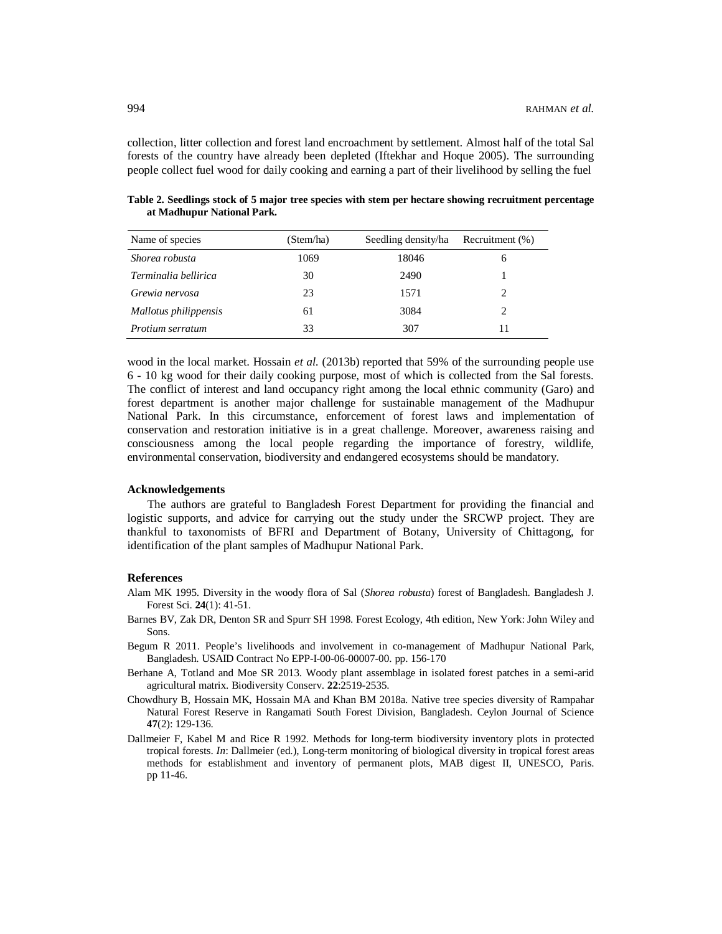collection, litter collection and forest land encroachment by settlement. Almost half of the total Sal forests of the country have already been depleted (Iftekhar and Hoque 2005). The surrounding people collect fuel wood for daily cooking and earning a part of their livelihood by selling the fuel

| Table 2. Seedlings stock of 5 major tree species with stem per hectare showing recruitment percentage |  |  |
|-------------------------------------------------------------------------------------------------------|--|--|
| at Madhupur National Park.                                                                            |  |  |

| Name of species       | (Stem/ha) | Seedling density/ha | Recruitment (%) |
|-----------------------|-----------|---------------------|-----------------|
| Shorea robusta        | 1069      | 18046               | 6               |
| Terminalia bellirica  | 30        | 2490                |                 |
| Grewia nervosa        | 23        | 1571                |                 |
| Mallotus philippensis | 61        | 3084                |                 |
| Protium serratum      | 33        | 307                 |                 |

wood in the local market. Hossain *et al.* (2013b) reported that 59% of the surrounding people use 6 - 10 kg wood for their daily cooking purpose, most of which is collected from the Sal forests. The conflict of interest and land occupancy right among the local ethnic community (Garo) and forest department is another major challenge for sustainable management of the Madhupur National Park. In this circumstance, enforcement of forest laws and implementation of conservation and restoration initiative is in a great challenge. Moreover, awareness raising and consciousness among the local people regarding the importance of forestry, wildlife, environmental conservation, biodiversity and endangered ecosystems should be mandatory.

#### **Acknowledgements**

The authors are grateful to Bangladesh Forest Department for providing the financial and logistic supports, and advice for carrying out the study under the SRCWP project. They are thankful to taxonomists of BFRI and Department of Botany, University of Chittagong, for identification of the plant samples of Madhupur National Park.

## **References**

- Alam MK 1995. Diversity in the woody flora of Sal (*Shorea robusta*) forest of Bangladesh. Bangladesh J. Forest Sci. **24**(1): 41-51.
- Barnes BV, Zak DR, Denton SR and Spurr SH 1998. Forest Ecology, 4th edition, New York: John Wiley and Sons.
- Begum R 2011. People's livelihoods and involvement in co-management of Madhupur National Park, Bangladesh. USAID Contract No EPP-I-00-06-00007-00. pp. 156-170
- Berhane A, Totland and Moe SR 2013. Woody plant assemblage in isolated forest patches in a semi-arid agricultural matrix. Biodiversity Conserv. **22**:2519-2535.
- Chowdhury B, Hossain MK, Hossain MA and Khan BM 2018a. Native tree species diversity of Rampahar Natural Forest Reserve in Rangamati South Forest Division, Bangladesh. Ceylon Journal of Science **47**(2): 129-136.
- Dallmeier F, Kabel M and Rice R 1992. Methods for long-term biodiversity inventory plots in protected tropical forests. *In*: Dallmeier (ed.), Long-term monitoring of biological diversity in tropical forest areas methods for establishment and inventory of permanent plots, MAB digest II, UNESCO, Paris. pp 11-46.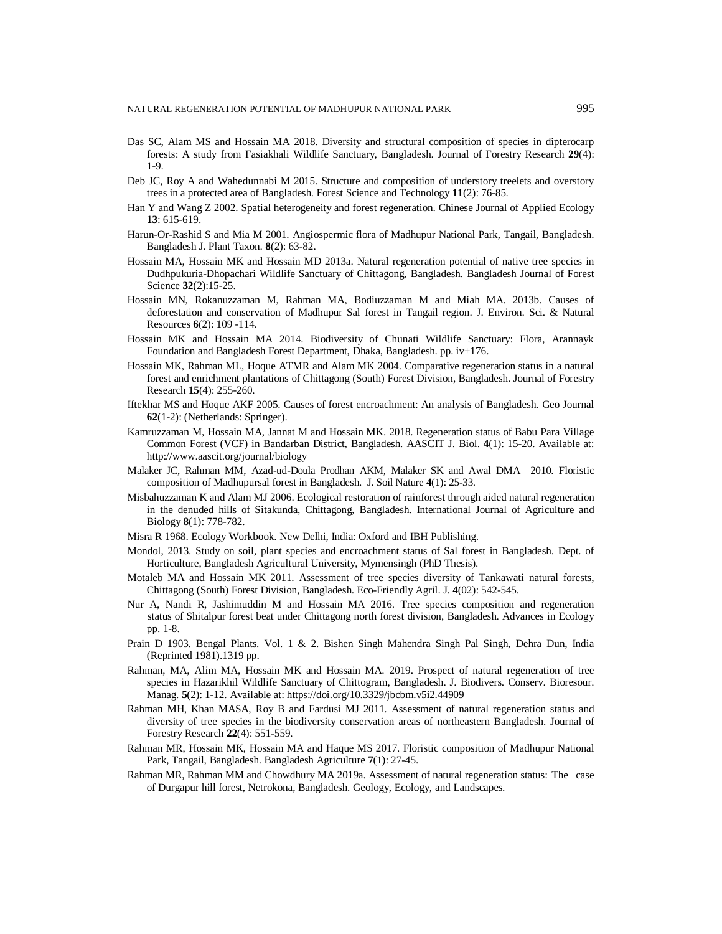- Das SC, Alam MS and Hossain MA 2018. Diversity and structural composition of species in dipterocarp forests: A study from Fasiakhali Wildlife Sanctuary, Bangladesh. Journal of Forestry Research **29**(4): 1-9.
- Deb JC, Roy A and Wahedunnabi M 2015. Structure and composition of understory treelets and overstory trees in a protected area of Bangladesh. Forest Science and Technology **11**(2): 76-85.
- Han Y and Wang Z 2002. Spatial heterogeneity and forest regeneration. Chinese Journal of Applied Ecology **13**: 615-619.
- Harun-Or-Rashid S and Mia M 2001. Angiospermic flora of Madhupur National Park, Tangail, Bangladesh. Bangladesh J. Plant Taxon. **8**(2): 63-82.
- Hossain MA, Hossain MK and Hossain MD 2013a. Natural regeneration potential of native tree species in Dudhpukuria-Dhopachari Wildlife Sanctuary of Chittagong, Bangladesh. Bangladesh Journal of Forest Science **32**(2):15-25.
- Hossain MN, Rokanuzzaman M, Rahman MA, Bodiuzzaman M and Miah MA. 2013b. Causes of deforestation and conservation of Madhupur Sal forest in Tangail region. J. Environ. Sci. & Natural Resources **6**(2): 109 -114.
- Hossain MK and Hossain MA 2014. Biodiversity of Chunati Wildlife Sanctuary: Flora, Arannayk Foundation and Bangladesh Forest Department, Dhaka, Bangladesh. pp. iv+176.
- Hossain MK, Rahman ML, Hoque ATMR and Alam MK 2004. Comparative regeneration status in a natural forest and enrichment plantations of Chittagong (South) Forest Division, Bangladesh. Journal of Forestry Research **15**(4): 255-260.
- Iftekhar MS and Hoque AKF 2005. Causes of forest encroachment: An analysis of Bangladesh. Geo Journal **62**(1-2): (Netherlands: Springer).
- Kamruzzaman M, Hossain MA, Jannat M and Hossain MK. 2018. Regeneration status of Babu Para Village Common Forest (VCF) in Bandarban District, Bangladesh. AASCIT J. Biol. **4**(1): 15-20. Available at: <http://www.aascit.org/journal/biology>
- Malaker JC, Rahman MM, Azad-ud-Doula Prodhan AKM, Malaker SK and Awal DMA 2010. Floristic composition of Madhupursal forest in Bangladesh. J. Soil Nature **4**(1): 25-33.
- Misbahuzzaman K and Alam MJ 2006. Ecological restoration of rainforest through aided natural regeneration in the denuded hills of Sitakunda, Chittagong, Bangladesh. International Journal of Agriculture and Biology **8**(1): 778-782.
- Misra R 1968. Ecology Workbook. New Delhi, India: Oxford and IBH Publishing.
- Mondol, 2013. Study on soil, plant species and encroachment status of Sal forest in Bangladesh. Dept. of Horticulture, Bangladesh Agricultural University, Mymensingh (PhD Thesis).
- Motaleb MA and Hossain MK 2011. Assessment of tree species diversity of Tankawati natural forests, Chittagong (South) Forest Division, Bangladesh. Eco-Friendly Agril. J. **4**(02): 542-545.
- Nur A, Nandi R, Jashimuddin M and Hossain MA 2016. Tree species composition and regeneration status of Shitalpur forest beat under Chittagong north forest division, Bangladesh. Advances in Ecology pp. 1-8.
- Prain D 1903. Bengal Plants. Vol. 1 & 2. Bishen Singh Mahendra Singh Pal Singh, Dehra Dun, India (Reprinted 1981).1319 pp.
- Rahman, MA, Alim MA, Hossain MK and Hossain MA. 2019. Prospect of natural regeneration of tree species in Hazarikhil Wildlife Sanctuary of Chittogram, Bangladesh. J. Biodivers. Conserv. Bioresour. Manag. **5**(2): 1-12. Available at:<https://doi.org/10.3329/jbcbm.v5i2.44909>
- Rahman MH, Khan MASA, Roy B and Fardusi MJ 2011. Assessment of natural regeneration status and diversity of tree species in the biodiversity conservation areas of northeastern Bangladesh. Journal of Forestry Research **22**(4): 551-559.
- Rahman MR, Hossain MK, Hossain MA and Haque MS 2017. Floristic composition of Madhupur National Park, Tangail, Bangladesh. Bangladesh Agriculture **7**(1): 27-45.
- Rahman MR, Rahman MM and Chowdhury MA 2019a. Assessment of natural regeneration status: The case of Durgapur hill forest, Netrokona, Bangladesh. Geology, Ecology, and Landscapes*.*